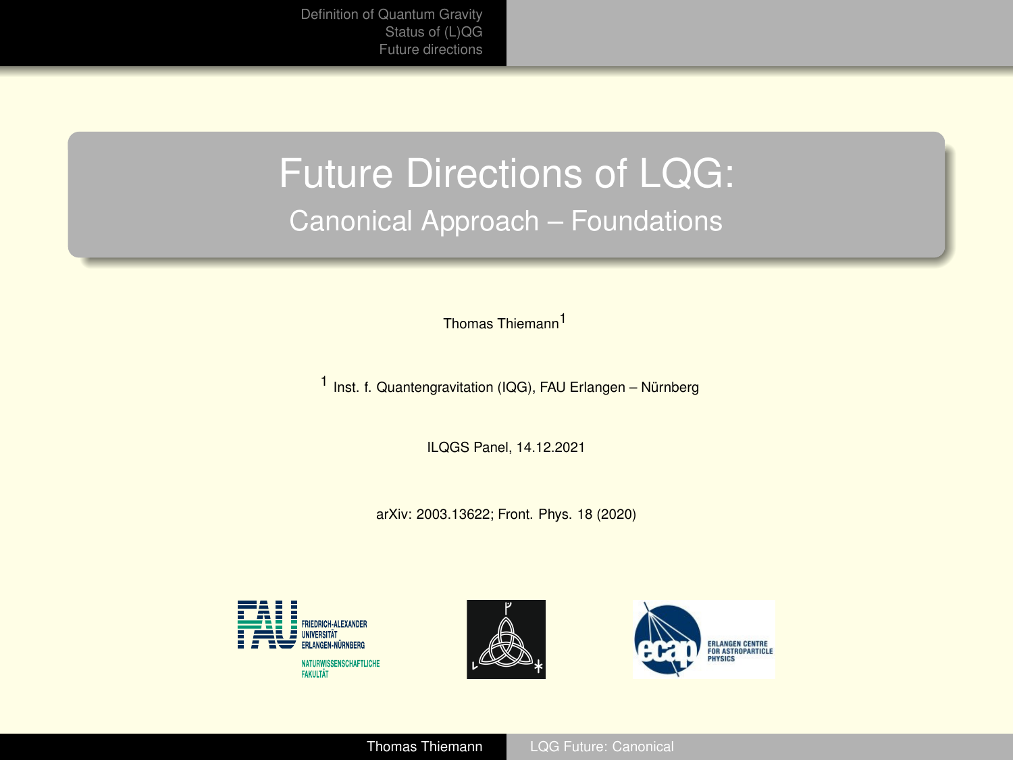## <span id="page-0-0"></span>Future Directions of LQG: Canonical Approach – Foundations

Thomas Thiemann1

1 Inst. f. Quantengravitation (IQG), FAU Erlangen – Nürnberg

ILQGS Panel, 14.12.2021

arXiv: 2003.13622; Front. Phys. 18 (2020)





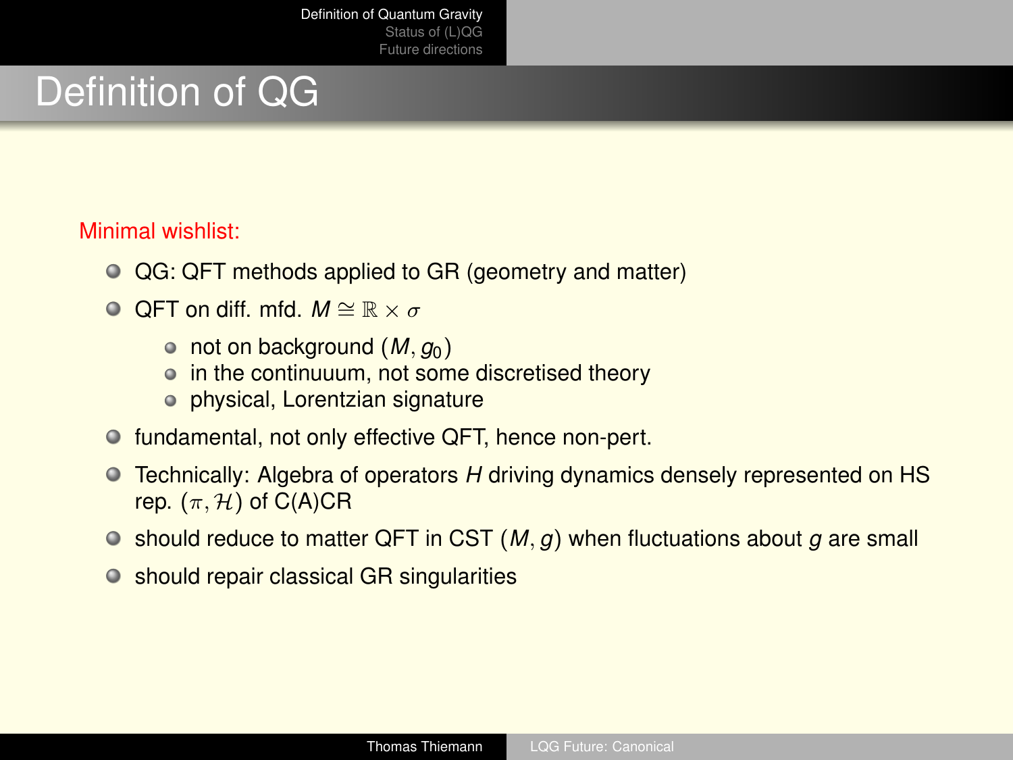# <span id="page-1-0"></span>Definition of QG

#### Minimal wishlist:

- QG: QFT methods applied to GR (geometry and matter)
- **O** OFT on diff. mfd.  $M \cong \mathbb{R} \times \sigma$ 
	- $\circ$  not on background (*M*,  $q_0$ )
	- in the continuuum, not some discretised theory
	- physical, Lorentzian signature
- fundamental, not only effective QFT, hence non-pert.
- Technically: Algebra of operators *H* driving dynamics densely represented on HS  $\bullet$ rep.  $(\pi, \mathcal{H})$  of C(A)CR
- $\bullet$  should reduce to matter QFT in CST (*M*, *g*) when fluctuations about *g* are small
- should repair classical GR singularities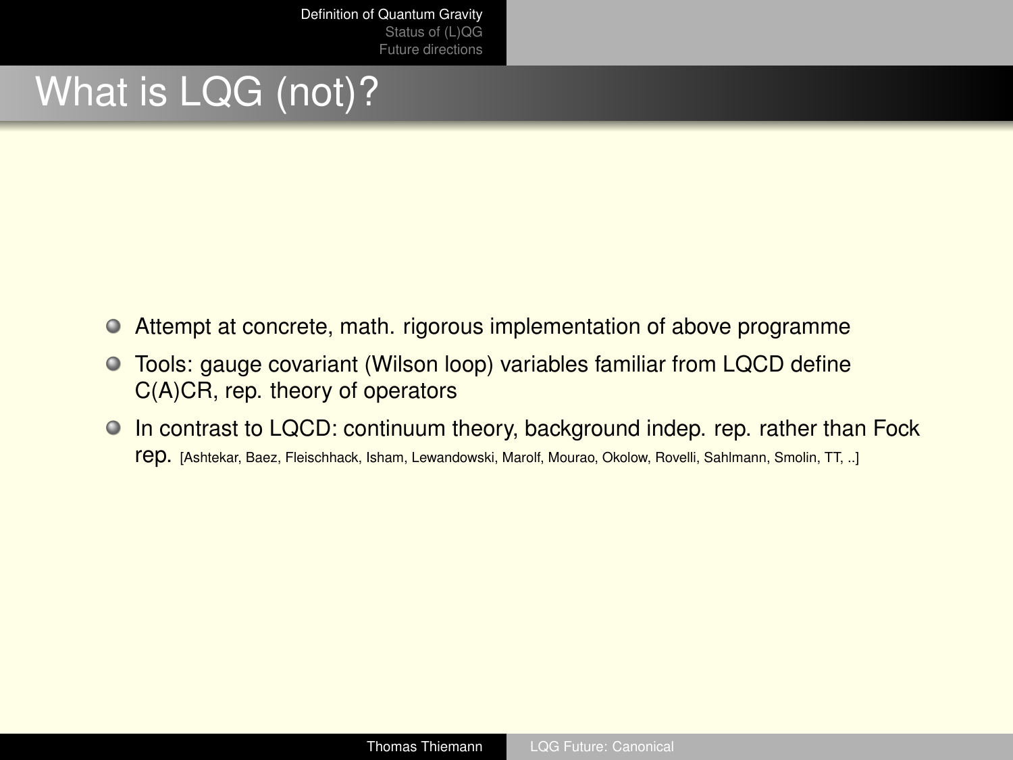# What is LQG (not)?

- $\bullet$ Attempt at concrete, math. rigorous implementation of above programme
- $\bullet$ Tools: gauge covariant (Wilson loop) variables familiar from LQCD define C(A)CR, rep. theory of operators
- In contrast to LQCD: continuum theory, background indep. rep. rather than Fock rep. [Ashtekar, Baez, Fleischhack, Isham, Lewandowski, Marolf, Mourao, Okolow, Rovelli, Sahlmann, Smolin, TT, ..]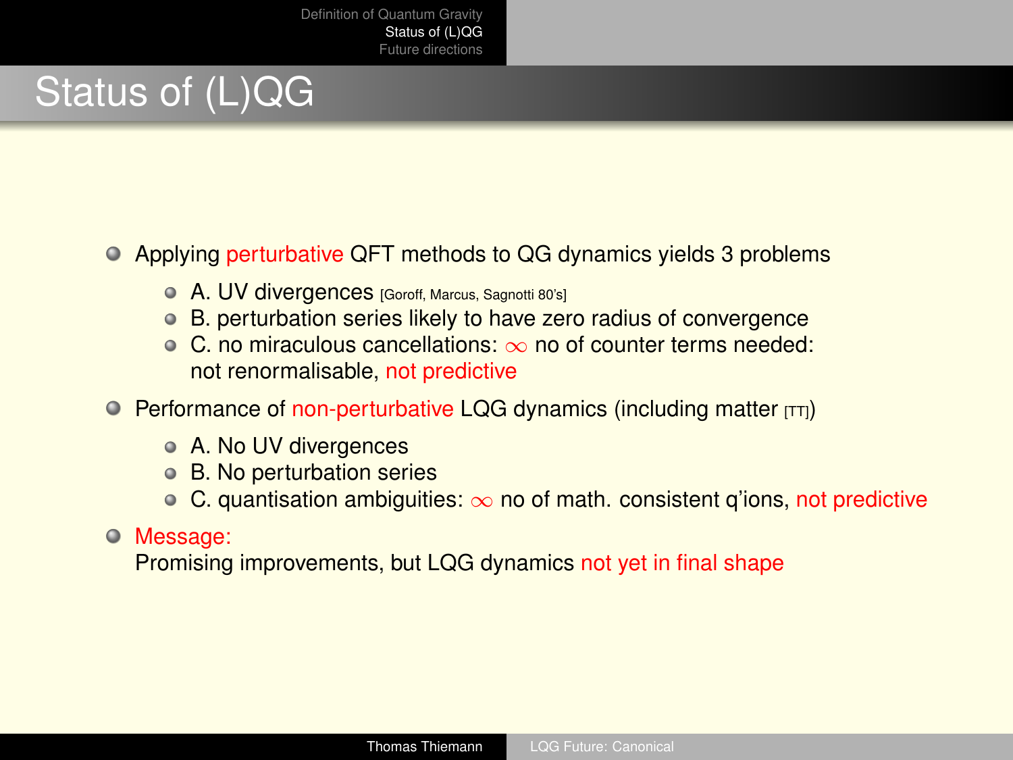# <span id="page-3-0"></span>Status of (L)QG

#### Applying perturbative QFT methods to QG dynamics yields 3 problems

- **A. UV divergences** [Goroff, Marcus, Sagnotti 80's]
- B. perturbation series likely to have zero radius of convergence
- C. no miraculous cancellations: ∞ no of counter terms needed: not renormalisable, not predictive
- $\bullet$  Performance of non-perturbative LQG dynamics (including matter  $[TT]$ )
	- A. No UV divergences
	- B. No perturbation series
	- $\circ$  C. quantisation ambiguities:  $\infty$  no of math. consistent q'ions, not predictive

#### Message:

Promising improvements, but LQG dynamics not yet in final shape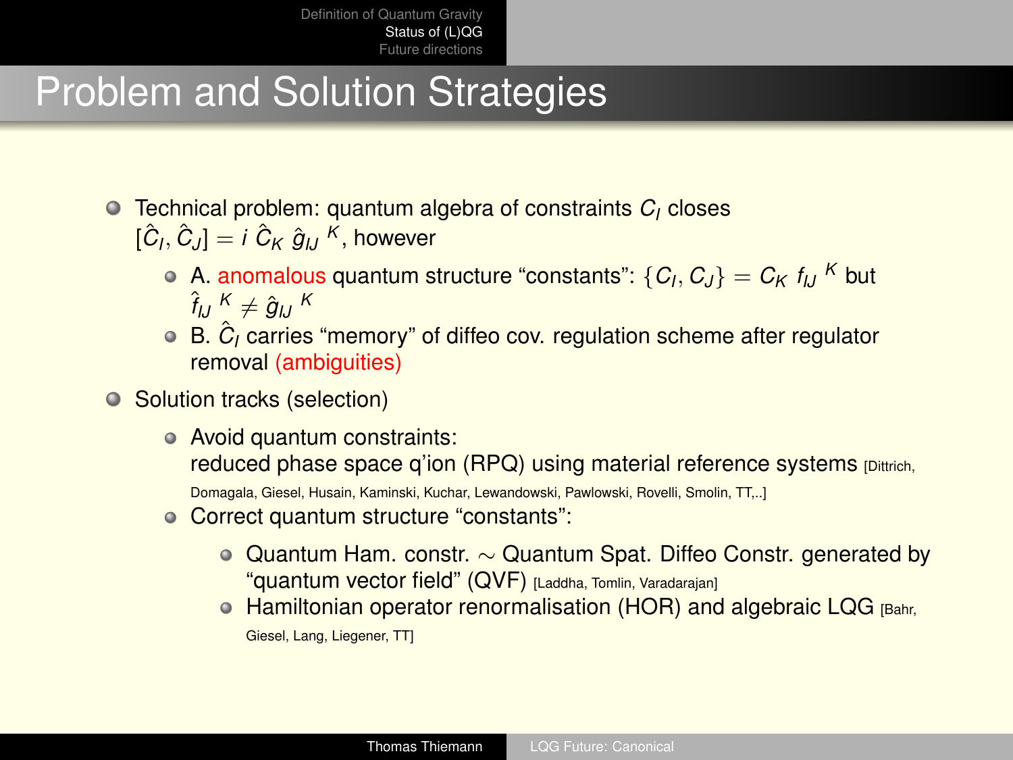# Problem and Solution Strategies

- Technical problem: quantum algebra of constraints *C<sup>I</sup>* closes  $[\hat{C}_I, \hat{C}_J] = i \hat{C}_K \hat{g}_{IJ}^K$ , however
	- A. anomalous quantum structure "constants":  $\{C_I, C_J\} = C_K f_{IJ}$  <sup>K</sup> but  $\hat{f}_{IJ}$   $K \neq \hat{g}_{IJ}$   $K$
	- B.  $\hat{C}_I$  carries "memory" of diffeo cov. regulation scheme after regulator removal (ambiguities)
- Solution tracks (selection)
	- Avoid quantum constraints: reduced phase space q'ion (RPQ) using material reference systems [Dittrich, Domagala, Giesel, Husain, Kaminski, Kuchar, Lewandowski, Pawlowski, Rovelli, Smolin, TT,..]
	- Correct quantum structure "constants":
		- Quantum Ham. constr. ∼ Quantum Spat. Diffeo Constr. generated by "quantum vector field" (QVF) [Laddha, Tomlin, Varadarajan]
		- Hamiltonian operator renormalisation (HOR) and algebraic LQG [Bahr, Giesel, Lang, Liegener, TT]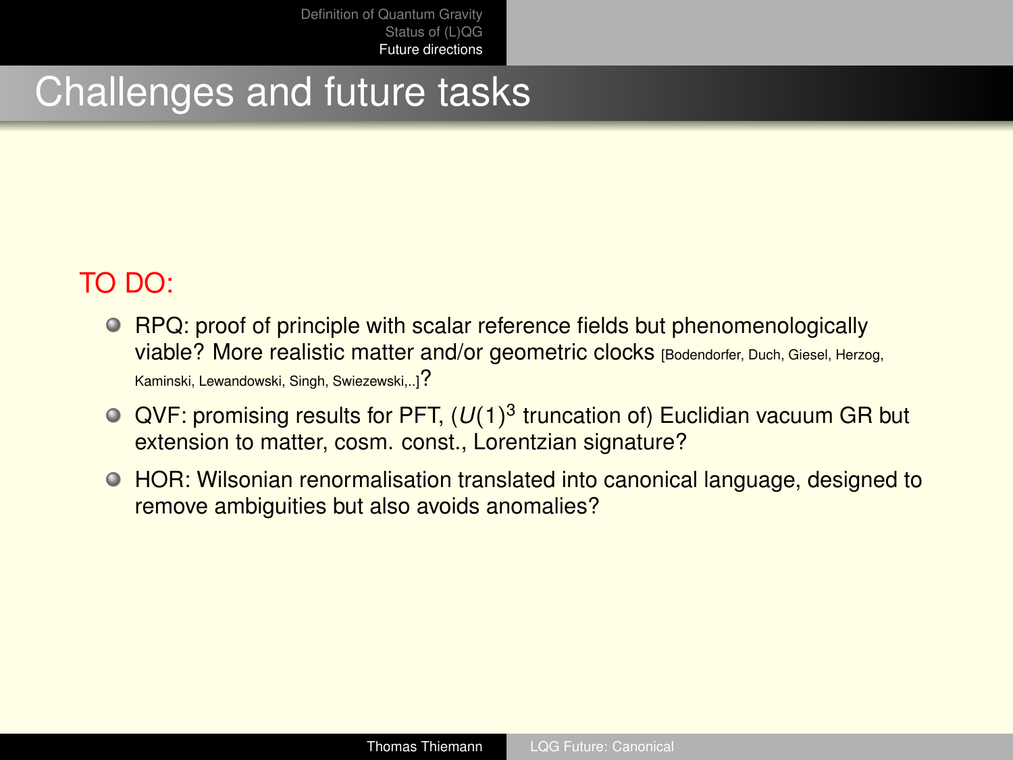### <span id="page-5-0"></span>Challenges and future tasks

### TO DO:

- RPQ: proof of principle with scalar reference fields but phenomenologically viable? More realistic matter and/or geometric clocks [Bodendorfer, Duch, Giesel, Herzog, Kaminski, Lewandowski, Singh, Swiezewski,..]?
- QVF: promising results for PFT,  $(U(1)^3$  truncation of) Euclidian vacuum GR but extension to matter, cosm. const., Lorentzian signature?
- HOR: Wilsonian renormalisation translated into canonical language, designed to remove ambiguities but also avoids anomalies?